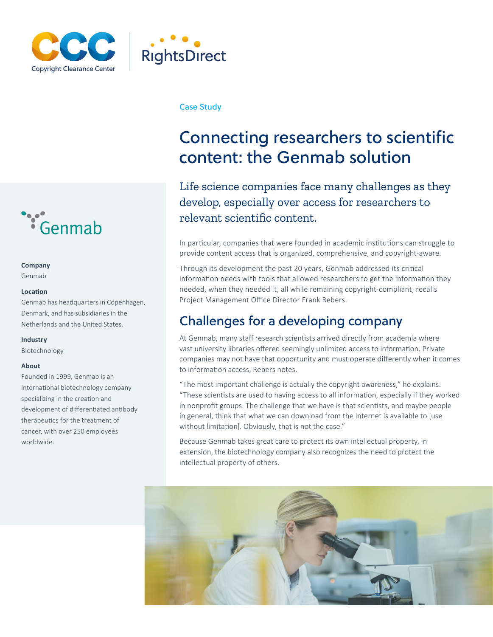



#### Case Study

## Connecting researchers to scientific content: the Genmab solution

Life science companies face many challenges as they develop, especially over access for researchers to relevant scientific content.

In particular, companies that were founded in academic institutions can struggle to provide content access that is organized, comprehensive, and copyright-aware.

Through its development the past 20 years, Genmab addressed its critical information needs with tools that allowed researchers to get the information they needed, when they needed it, all while remaining copyright-compliant, recalls Project Management Office Director Frank Rebers.

## Challenges for a developing company

At Genmab, many staff research scientists arrived directly from academia where vast university libraries offered seemingly unlimited access to information. Private companies may not have that opportunity and must operate differently when it comes to information access, Rebers notes.

"The most important challenge is actually the copyright awareness," he explains. "These scientists are used to having access to all information, especially if they worked in nonprofit groups. The challenge that we have is that scientists, and maybe people in general, think that what we can download from the Internet is available to [use without limitation]. Obviously, that is not the case."

Because Genmab takes great care to protect its own intellectual property, in extension, the biotechnology company also recognizes the need to protect the intellectual property of others.





#### **Company**

Genmab

#### **Location**

Genmab has headquarters in Copenhagen, Denmark, and has subsidiaries in the Netherlands and the United States.

#### **Industry**

Biotechnology

#### **About**

Founded in 1999, Genmab is an international biotechnology company specializing in the creation and development of differentiated antibody therapeutics for the treatment of cancer, with over 250 employees worldwide.